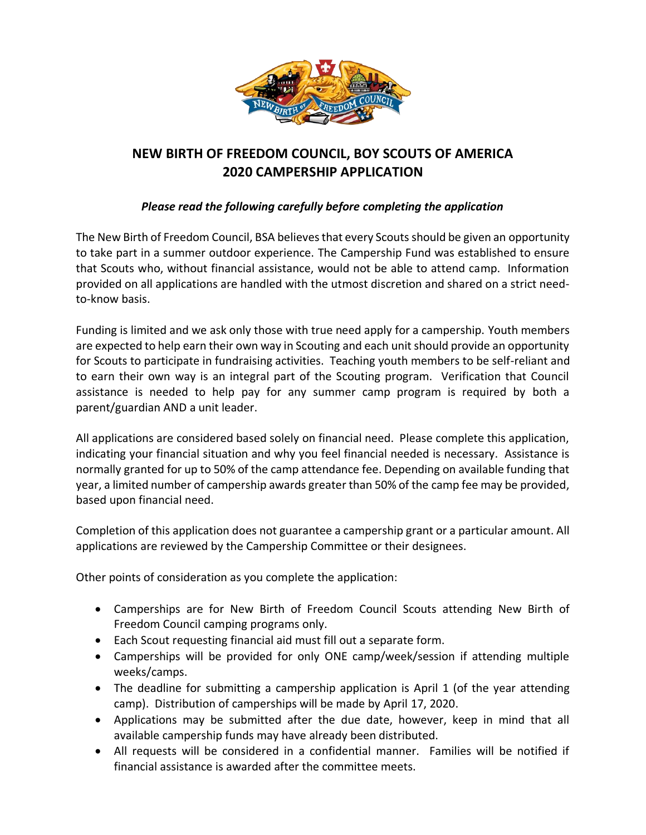

## **NEW BIRTH OF FREEDOM COUNCIL, BOY SCOUTS OF AMERICA 2020 CAMPERSHIP APPLICATION**

## *Please read the following carefully before completing the application*

The New Birth of Freedom Council, BSA believes that every Scouts should be given an opportunity to take part in a summer outdoor experience. The Campership Fund was established to ensure that Scouts who, without financial assistance, would not be able to attend camp. Information provided on all applications are handled with the utmost discretion and shared on a strict needto-know basis.

Funding is limited and we ask only those with true need apply for a campership. Youth members are expected to help earn their own way in Scouting and each unit should provide an opportunity for Scouts to participate in fundraising activities. Teaching youth members to be self-reliant and to earn their own way is an integral part of the Scouting program. Verification that Council assistance is needed to help pay for any summer camp program is required by both a parent/guardian AND a unit leader.

All applications are considered based solely on financial need. Please complete this application, indicating your financial situation and why you feel financial needed is necessary. Assistance is normally granted for up to 50% of the camp attendance fee. Depending on available funding that year, a limited number of campership awards greater than 50% of the camp fee may be provided, based upon financial need.

Completion of this application does not guarantee a campership grant or a particular amount. All applications are reviewed by the Campership Committee or their designees.

Other points of consideration as you complete the application:

- Camperships are for New Birth of Freedom Council Scouts attending New Birth of Freedom Council camping programs only.
- Each Scout requesting financial aid must fill out a separate form.
- Camperships will be provided for only ONE camp/week/session if attending multiple weeks/camps.
- The deadline for submitting a campership application is April 1 (of the year attending camp). Distribution of camperships will be made by April 17, 2020.
- Applications may be submitted after the due date, however, keep in mind that all available campership funds may have already been distributed.
- All requests will be considered in a confidential manner. Families will be notified if financial assistance is awarded after the committee meets.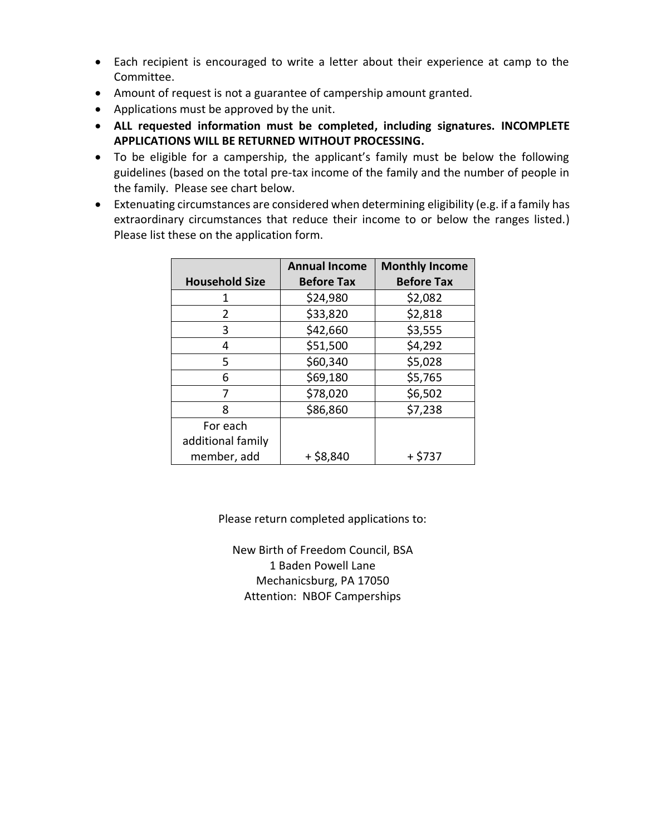- Each recipient is encouraged to write a letter about their experience at camp to the Committee.
- Amount of request is not a guarantee of campership amount granted.
- Applications must be approved by the unit.
- **ALL requested information must be completed, including signatures. INCOMPLETE APPLICATIONS WILL BE RETURNED WITHOUT PROCESSING.**
- To be eligible for a campership, the applicant's family must be below the following guidelines (based on the total pre-tax income of the family and the number of people in the family. Please see chart below.
- Extenuating circumstances are considered when determining eligibility (e.g. if a family has extraordinary circumstances that reduce their income to or below the ranges listed.) Please list these on the application form.

|                       | <b>Annual Income</b> | <b>Monthly Income</b> |
|-----------------------|----------------------|-----------------------|
| <b>Household Size</b> | <b>Before Tax</b>    | <b>Before Tax</b>     |
| 1                     | \$24,980             | \$2,082               |
| 2                     | \$33,820             | \$2,818               |
| 3                     | \$42,660             | \$3,555               |
| 4                     | \$51,500             | \$4,292               |
| 5                     | \$60,340             | \$5,028               |
| 6                     | \$69,180             | \$5,765               |
| 7                     | \$78,020             | \$6,502               |
| ጸ                     | \$86,860             | \$7,238               |
| For each              |                      |                       |
| additional family     |                      |                       |
| member, add           | $+ $8,840$           | + \$737               |

Please return completed applications to:

New Birth of Freedom Council, BSA 1 Baden Powell Lane Mechanicsburg, PA 17050 Attention: NBOF Camperships